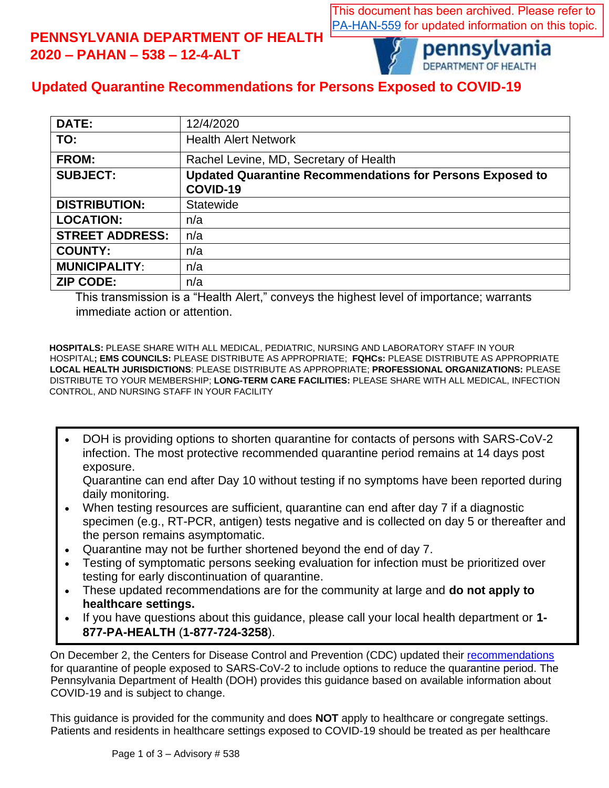This document has been archived. Please refer to [PA-HAN-559](https://www.health.pa.gov/topics/Documents/HAN/2021-PAHAN-559-3-16-UPD%20-%20Updated%20Quarantine%20full%20vac.pdf) for updated information on this topic.

## **PENNSYLVANIA DEPARTMENT OF HEALTH 2020 – PAHAN – 538 – 12-4-ALT**



pennsylvania DEPARTMENT OF HEALTH

## **Updated Quarantine Recommendations for Persons Exposed to COVID-19**

| <b>DATE:</b>           | 12/4/2020                                                        |
|------------------------|------------------------------------------------------------------|
| TO:                    | <b>Health Alert Network</b>                                      |
| <b>FROM:</b>           | Rachel Levine, MD, Secretary of Health                           |
| <b>SUBJECT:</b>        | <b>Updated Quarantine Recommendations for Persons Exposed to</b> |
|                        | COVID-19                                                         |
| <b>DISTRIBUTION:</b>   | <b>Statewide</b>                                                 |
| <b>LOCATION:</b>       | n/a                                                              |
| <b>STREET ADDRESS:</b> | n/a                                                              |
| <b>COUNTY:</b>         | n/a                                                              |
| <b>MUNICIPALITY:</b>   | n/a                                                              |
| <b>ZIP CODE:</b>       | n/a                                                              |

This transmission is a "Health Alert," conveys the highest level of importance; warrants immediate action or attention.

**HOSPITALS:** PLEASE SHARE WITH ALL MEDICAL, PEDIATRIC, NURSING AND LABORATORY STAFF IN YOUR HOSPITAL**; EMS COUNCILS:** PLEASE DISTRIBUTE AS APPROPRIATE; **FQHCs:** PLEASE DISTRIBUTE AS APPROPRIATE **LOCAL HEALTH JURISDICTIONS**: PLEASE DISTRIBUTE AS APPROPRIATE; **PROFESSIONAL ORGANIZATIONS:** PLEASE DISTRIBUTE TO YOUR MEMBERSHIP; **LONG-TERM CARE FACILITIES:** PLEASE SHARE WITH ALL MEDICAL, INFECTION CONTROL, AND NURSING STAFF IN YOUR FACILITY

• DOH is providing options to shorten quarantine for contacts of persons with SARS-CoV-2 infection. The most protective recommended quarantine period remains at 14 days post exposure.

Quarantine can end after Day 10 without testing if no symptoms have been reported during daily monitoring.

- When testing resources are sufficient, quarantine can end after day 7 if a diagnostic specimen (e.g., RT-PCR, antigen) tests negative and is collected on day 5 or thereafter and the person remains asymptomatic.
- Quarantine may not be further shortened beyond the end of day 7.
- Testing of symptomatic persons seeking evaluation for infection must be prioritized over testing for early discontinuation of quarantine.
- These updated recommendations are for the community at large and **do not apply to healthcare settings.**
- If you have questions about this guidance, please call your local health department or **1- 877-PA-HEALTH** (**1-877-724-3258**).

**ODIGAT CONTENTS**<br>On December 2, the Centers for Disease Control and Prevention (CDC) updated their [recommendations](https://www.cdc.gov/coronavirus/2019-ncov/more/scientific-brief-options-to-reduce-quarantine.html) for quarantine of people exposed to SARS-CoV-2 to include options to reduce the quarantine period. The Pennsylvania Department of Health (DOH) provides this guidance based on available information about COVID-19 and is subject to change.

This guidance is provided for the community and does **NOT** apply to healthcare or congregate settings. Patients and residents in healthcare settings exposed to COVID-19 should be treated as per healthcare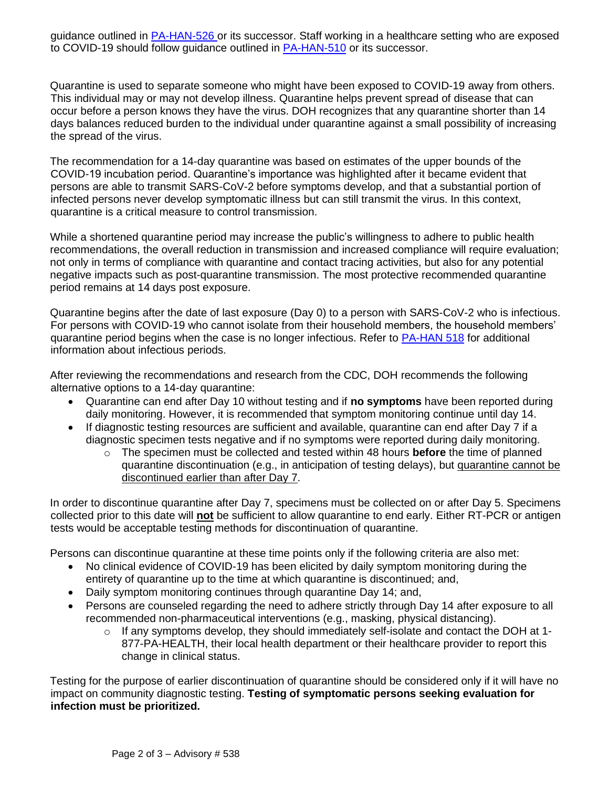guidance outlined in [PA-HAN-526 o](https://www.health.pa.gov/topics/Documents/HAN/2020-PAHAN-526-09-17-ADV-%20POC%20Antige.pdf)r its successor. Staff working in a healthcare setting who are exposed to COVID-19 should follow guidance outlined in [PA-HAN-510](https://www.health.pa.gov/topics/Documents/HAN/2020-PAHAN-510-06-01-UPD-UPDATE%20Expo.pdf) or its successor.

Quarantine is used to separate someone who might have been exposed to COVID-19 away from others. This individual may or may not develop illness. Quarantine helps prevent spread of disease that can occur before a person knows they have the virus. DOH recognizes that any quarantine shorter than 14 days balances reduced burden to the individual under quarantine against a small possibility of increasing the spread of the virus.

The recommendation for a 14-day quarantine was based on estimates of the upper bounds of the COVID-19 incubation period. Quarantine's importance was highlighted after it became evident that persons are able to transmit SARS-CoV-2 before symptoms develop, and that a substantial portion of infected persons never develop symptomatic illness but can still transmit the virus. In this context, quarantine is a critical measure to control transmission.

While a shortened quarantine period may increase the public's willingness to adhere to public health recommendations, the overall reduction in transmission and increased compliance will require evaluation; not only in terms of compliance with quarantine and contact tracing activities, but also for any potential negative impacts such as post-quarantine transmission. The most protective recommended quarantine period remains at 14 days post exposure.

Quarantine begins after the date of last exposure (Day 0) to a person with SARS-CoV-2 who is infectious. For persons with COVID-19 who cannot isolate from their household members, the household members' quarantine period begins when the case is no longer infectious. Refer to [PA-HAN 518](https://www.health.pa.gov/topics/Documents/HAN/2020-PAHAN-518-07-20-UPD%20-Interim%20Gu.pdf) for additional information about infectious periods.

After reviewing the recommendations and research from the CDC, DOH recommends the following alternative options to a 14-day quarantine:

- Quarantine can end after Day 10 without testing and if **no symptoms** have been reported during daily monitoring. However, it is recommended that symptom monitoring continue until day 14.
- If diagnostic testing resources are sufficient and available, quarantine can end after Day 7 if a diagnostic specimen tests negative and if no symptoms were reported during daily monitoring.
	- o The specimen must be collected and tested within 48 hours **before** the time of planned quarantine discontinuation (e.g., in anticipation of testing delays), but quarantine cannot be discontinued earlier than after Day 7.

In order to discontinue quarantine after Day 7, specimens must be collected on or after Day 5. Specimens collected prior to this date will **not** be sufficient to allow quarantine to end early. Either RT-PCR or antigen tests would be acceptable testing methods for discontinuation of quarantine.

Persons can discontinue quarantine at these time points only if the following criteria are also met:

- No clinical evidence of COVID-19 has been elicited by daily symptom monitoring during the entirety of quarantine up to the time at which quarantine is discontinued; and,
- Daily symptom monitoring continues through quarantine Day 14; and,
- Persons are counseled regarding the need to adhere strictly through Day 14 after exposure to all recommended non-pharmaceutical interventions (e.g., masking, physical distancing).
	- o If any symptoms develop, they should immediately self-isolate and contact the DOH at 1- 877-PA-HEALTH, their local health department or their healthcare provider to report this change in clinical status.

Testing for the purpose of earlier discontinuation of quarantine should be considered only if it will have no impact on community diagnostic testing. **Testing of symptomatic persons seeking evaluation for infection must be prioritized.**